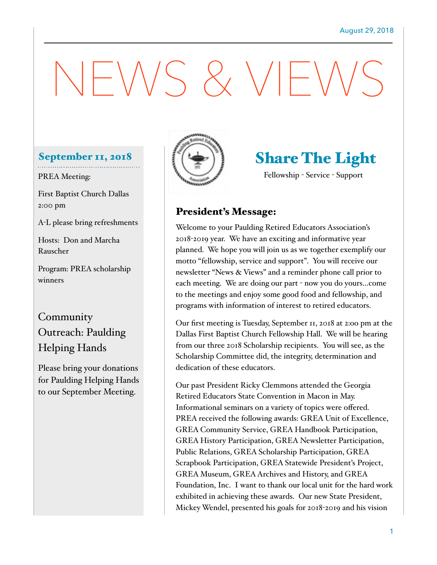# $WSSXVF'$

#### September 11, 2018

#### PREA Meeting:

First Baptist Church Dallas 2:00 pm

A-L please bring refreshments

Hosts: Don and Marcha Rauscher

Program: PREA scholarship winners

# **Community** Outreach: Paulding Helping Hands

Please bring your donations for Paulding Helping Hands to our September Meeting.



# Share The Light

Fellowship - Service - Support

#### President's Message:

Welcome to your Paulding Retired Educators Association's 2018-2019 year. We have an exciting and informative year planned. We hope you will join us as we together exemplify our motto "fellowship, service and support". You will receive our newsletter "News & Views" and a reminder phone call prior to each meeting. We are doing our part - now you do yours…come to the meetings and enjoy some good food and fellowship, and programs with information of interest to retired educators.

Our first meeting is Tuesday, September 11, 2018 at 2:oo pm at the Dallas First Baptist Church Fellowship Hall. We will be hearing from our three 2018 Scholarship recipients. You will see, as the Scholarship Committee did, the integrity, determination and dedication of these educators.

Our past President Ricky Clemmons attended the Georgia Retired Educators State Convention in Macon in May. Informational seminars on a variety of topics were offered. PREA received the following awards: GREA Unit of Excellence, GREA Community Service, GREA Handbook Participation, GREA History Participation, GREA Newsletter Participation, Public Relations, GREA Scholarship Participation, GREA Scrapbook Participation, GREA Statewide President's Project, GREA Museum, GREA Archives and History, and GREA Foundation, Inc. I want to thank our local unit for the hard work exhibited in achieving these awards. Our new State President, Mickey Wendel, presented his goals for 2018-2019 and his vision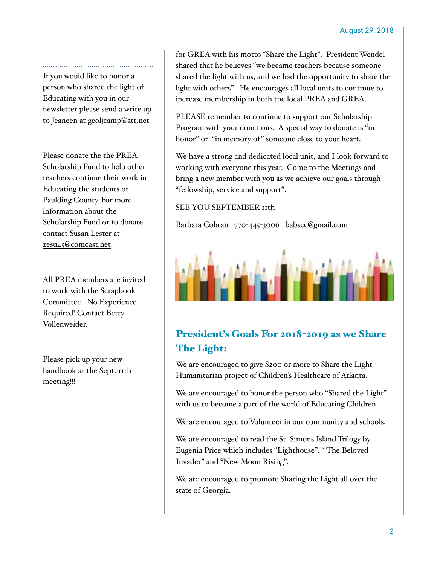If you would like to honor a person who shared the light of Educating with you in our newsletter please send a write up to Jeaneen at **geolicamp@att.net** 

Please donate the the PREA Scholarship Fund to help other teachers continue their work in Educating the students of Paulding County. For more information about the Scholarship Fund or to donate contact Susan Lester at [zesu45@comcast.net](mailto:zesu45@comcast.net)

All PREA members are invited to work with the Scrapbook Committee. No Experience Required! Contact Betty Vollenweider.

Please pick-up your new handbook at the Sept. 11th meeting!!!

for GREA with his motto "Share the Light". President Wendel shared that he believes "we became teachers because someone shared the light with us, and we had the opportunity to share the light with others". He encourages all local units to continue to increase membership in both the local PREA and GREA.

PLEASE remember to continue to support our Scholarship Program with your donations. A special way to donate is "in honor" or "in memory of" someone close to your heart.

We have a strong and dedicated local unit, and I look forward to working with everyone this year. Come to the Meetings and bring a new member with you as we achieve our goals through "fellowship, service and support".

#### SEE YOU SEPTEMBER 11th

Barbara Cohran 770-445-3006 babscc@gmail.com



### President's Goals For 2018-2019 as we Share The Light:

We are encouraged to give \$200 or more to Share the Light Humanitarian project of Children's Healthcare of Atlanta.

We are encouraged to honor the person who "Shared the Light" with us to become a part of the world of Educating Children.

We are encouraged to Volunteer in our community and schools.

We are encouraged to read the St. Simons Island Trilogy by Eugenia Price which includes "Lighthouse", " The Beloved Invader" and "New Moon Rising".

We are encouraged to promote Sharing the Light all over the state of Georgia.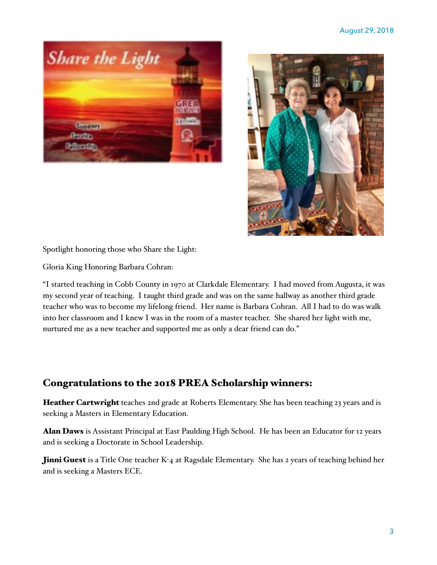



Spotlight honoring those who Share the Light:

Gloria King Honoring Barbara Cohran:

"I started teaching in Cobb County in 1970 at Clarkdale Elementary. I had moved from Augusta, it was my second year of teaching. I taught third grade and was on the same hallway as another third grade teacher who was to become my lifelong friend. Her name is Barbara Cohran. All I had to do was walk into her classroom and I knew I was in the room of a master teacher. She shared her light with me, nurtured me as a new teacher and supported me as only a dear friend can do."

#### Congratulations to the 2018 PREA Scholarship winners:

Heather Cartwright teaches 2nd grade at Roberts Elementary. She has been teaching 23 years and is seeking a Masters in Elementary Education.

Alan Daws is Assistant Principal at East Paulding High School. He has been an Educator for 12 years and is seeking a Doctorate in School Leadership.

**Jinni Guest** is a Title One teacher K-4 at Ragsdale Elementary. She has 2 years of teaching behind her and is seeking a Masters ECE.